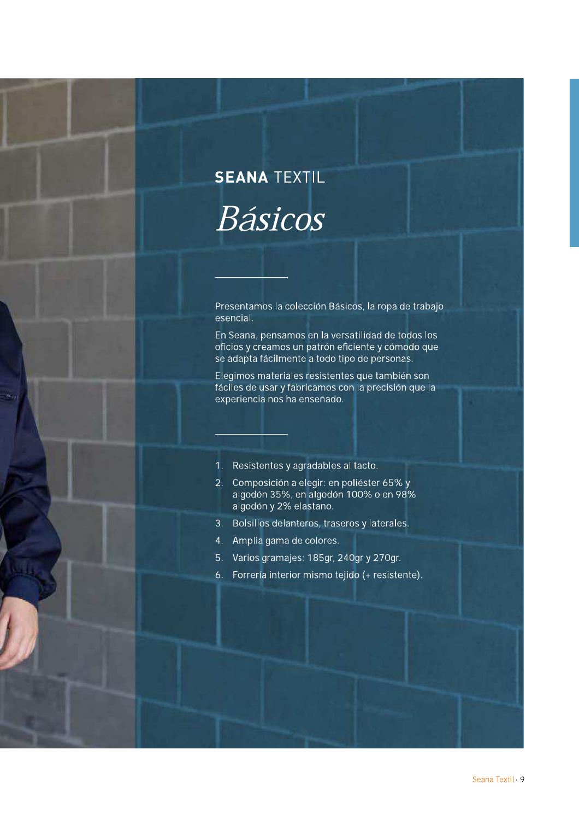# **SEANA TEXTIL** Básicos

Presentamos la colección Básicos, la ropa de trabajo esencial.

En Seana, pensamos en la versatilidad de todos los oficios y creamos un patrón eficiente y cómodo que se adapta fácilmente a todo tipo de personas.

Elegimos materiales resistentes que también son fáciles de usar y fabricamos con la precisión que la experiencia nos ha enseñado.

- 1. Resistentes y agradables al tacto.
- 2. Composición a elegir: en poliéster 65% y algodón 35%, en algodón 100% o en 98% algodón y 2% elastano.
- 3. Bolsillos delanteros, traseros y laterales.
- 4. Amplia gama de colores.
- 5. Varios gramajes: 185gr, 240gr y 270gr.
- 6. Forrería interior mismo tejido (+ resistente).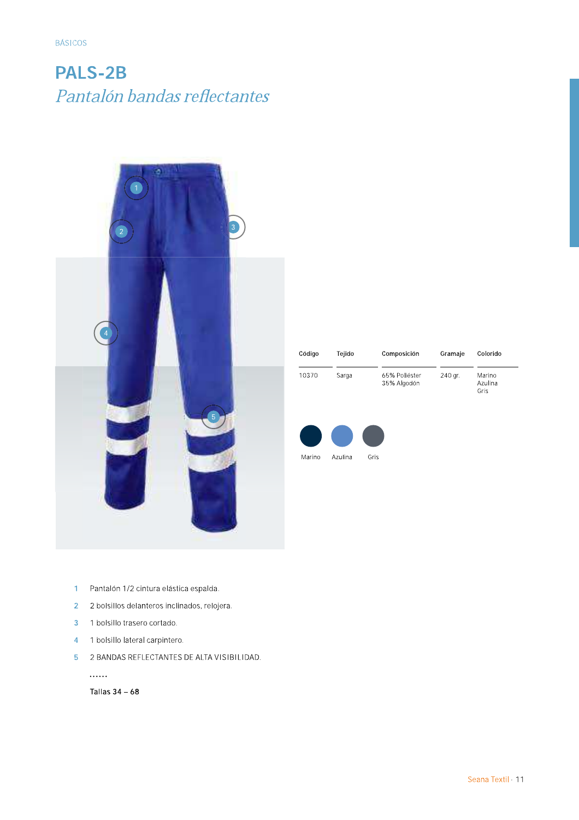**BÁSICOS** 

#### **PALS-2B** Pantalón bandas reflectantes



| Código | Teiido | Composición                  | Gramaje | Colorido                  |
|--------|--------|------------------------------|---------|---------------------------|
| 10370  | Sarga  | 65% Poliéster<br>35% Algodón | 240 gr. | Marino<br>Azulina<br>Gris |



- Pantalón 1/2 cintura elástica espalda.  $\mathbf{1}$
- 2 2 bolsillos delanteros inclinados, relojera.
- 3 1 bolsillo trasero cortado.
- 4 1 bolsillo lateral carpintero.
- 5 2 BANDAS REFLECTANTES DE ALTA VISIBILIDAD.

. . . . . .

Tallas  $34 - 68$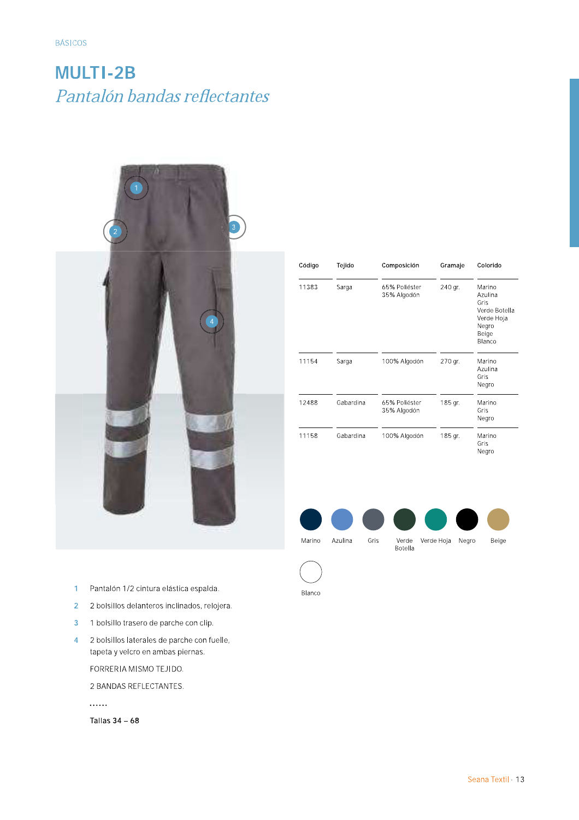## **MULTI-2B** Pantalón bandas reflectantes



| Código | Tejido    | Composición                  | Gramaje | Colorido                                                                             |
|--------|-----------|------------------------------|---------|--------------------------------------------------------------------------------------|
| 11383  | Sarga     | 65% Poliéster<br>35% Algodón | 240 gr. | Marino<br>Azulina<br>Gris<br>Verde Botella<br>Verde Hoja<br>Negro<br>Beige<br>Blanco |
| 11154  | Sarga     | 100% Algodón                 | 270 gr. | Marino<br>Azulina<br>Gris<br>Negro                                                   |
| 12488  | Gabardina | 65% Poliéster<br>35% Algodón | 185 gr. | Marino<br>Gris<br>Negro                                                              |
| 11158  | Gabardina | 100% Algodón                 | 185 gr. | Marino<br>Gris<br>Negro                                                              |



Botella

Blanco

- Pantalón 1/2 cintura elástica espalda.  $\overline{1}$
- $\overline{2}$ 2 bolsillos delanteros inclinados, relojera.
- $\overline{3}$ 1 bolsillo trasero de parche con clip.
- $\overline{4}$ 2 bolsillos laterales de parche con fuelle, tapeta y velcro en ambas piernas.

FORRERIA MISMO TEJIDO.

2 BANDAS REFLECTANTES.

. . . . . .

Tallas  $34-68$ 

Seana Textil · 13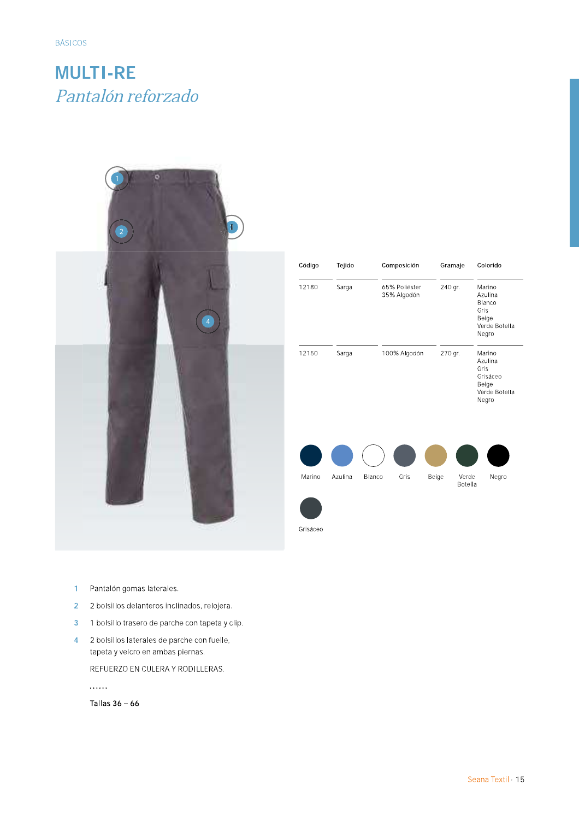**BÁSICOS** 

#### **MULTI-RE** Pantalón reforzado



| Código   | Tejido  |        | Composición                  |       | Gramaje |                  | Colorido                                                                 |
|----------|---------|--------|------------------------------|-------|---------|------------------|--------------------------------------------------------------------------|
| 12180    | Sarga   |        | 65% Poliéster<br>35% Algodón |       | 240 gr. |                  | Marino<br>Azulina<br>Blanco<br>Gris<br>Beige<br>Verde Botella<br>Negro   |
| 12150    | Sarga   |        | 100% Algodón                 |       | 270 gr. |                  | Marino<br>Azulina<br>Gris<br>Grisáceo<br>Beige<br>Verde Botella<br>Negro |
|          |         |        |                              |       |         |                  |                                                                          |
| Marino   | Azulina | Blanco | Gris                         | Beige |         | Verde<br>Botella | Negro                                                                    |
|          |         |        |                              |       |         |                  |                                                                          |
| Grisáceo |         |        |                              |       |         |                  |                                                                          |

- $\overline{1}$ Pantalón gomas laterales.
- $\overline{2}$ 2 bolsillos delanteros inclinados, relojera.
- 1 bolsillo trasero de parche con tapeta y clip.  $\overline{3}$
- 2 bolsillos laterales de parche con fuelle,  $\overline{\mathbf{4}}$ tapeta y velcro en ambas piernas.

REFUERZO EN CULERA Y RODILLERAS.

. . . . . .

Tallas  $36 - 66$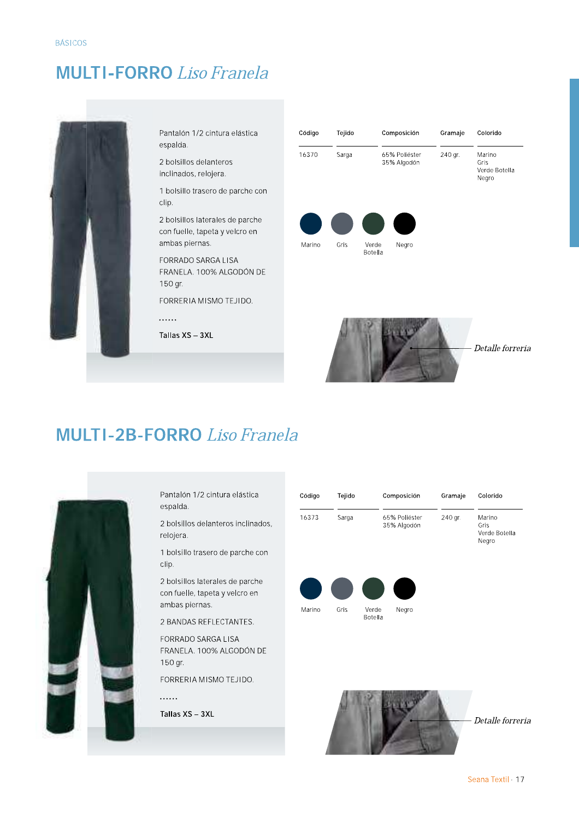#### **MULTI-FORRO** Liso Franela



Pantalón 1/2 cintura elástica espalda.

2 bolsillos delanteros inclinados, relojera.

1 bolsillo trasero de parche con clip.

2 bolsillos laterales de parche con fuelle, tapeta y velcro en ambas piernas.

FORRADO SARGA LISA FRANELA. 100% ALGODÓN DE 150 gr.

FORRERIA MISMO TEJIDO.

 $\cdots$ 

Tallas XS - 3XL

| Código | Tejido |                  | Composición                  | Gramaje | Colorido                                 |
|--------|--------|------------------|------------------------------|---------|------------------------------------------|
| 16370  | Sarga  |                  | 65% Poliéster<br>35% Algodón | 240 gr. | Marino<br>Gris<br>Verde Botella<br>Negro |
|        |        |                  |                              |         |                                          |
| Marino | Gris   | Verde<br>Botella | Negro                        |         |                                          |



#### **MULTI-2B-FORRO** Liso Franela



Pantalón 1/2 cintura elástica espalda.

2 bolsillos delanteros inclinados, relojera.

1 bolsillo trasero de parche con clip.

2 bolsillos laterales de parche con fuelle, tapeta y velcro en ambas piernas.

2 BANDAS REFLECTANTES.

FORRADO SARGA LISA FRANELA. 100% ALGODÓN DE 150 gr.

FORRERIA MISMO TEJIDO.

. . . . . .

| Código | Tejido |                  | Composición                  | Gramaje | Colorido                                 |
|--------|--------|------------------|------------------------------|---------|------------------------------------------|
| 16373  | Sarga  |                  | 65% Poliéster<br>35% Algodón | 240 gr. | Marino<br>Gris<br>Verde Botella<br>Negro |
|        |        |                  |                              |         |                                          |
| Marino | Gris   | Verde<br>Botella | Negro                        |         |                                          |

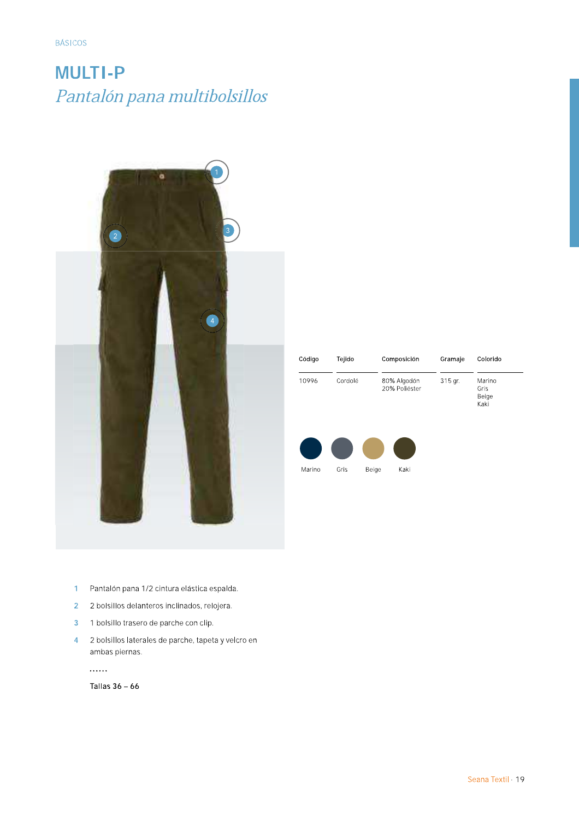**BÁSICOS** 

# **MULTI-P** Pantalón pana multibolsillos



| Código | Tejido  | Composición                  | Gramaje | Colorido                        |
|--------|---------|------------------------------|---------|---------------------------------|
| 10996  | Cordolé | 80% Algodón<br>20% Poliéster | 315 gr. | Marino<br>Gris<br>Beige<br>Kaki |
|        |         |                              |         |                                 |

Kaki

Marino

Gris

Beige

- Pantalón pana 1/2 cintura elástica espalda.  $\overline{1}$
- $\overline{2}$ 2 bolsillos delanteros inclinados, relojera.
- $\overline{3}$ 1 bolsillo trasero de parche con clip.
- 2 bolsillos laterales de parche, tapeta y velcro en  $\overline{\mathbf{4}}$ ambas piernas.

. . . . . .

Tallas 36 - 66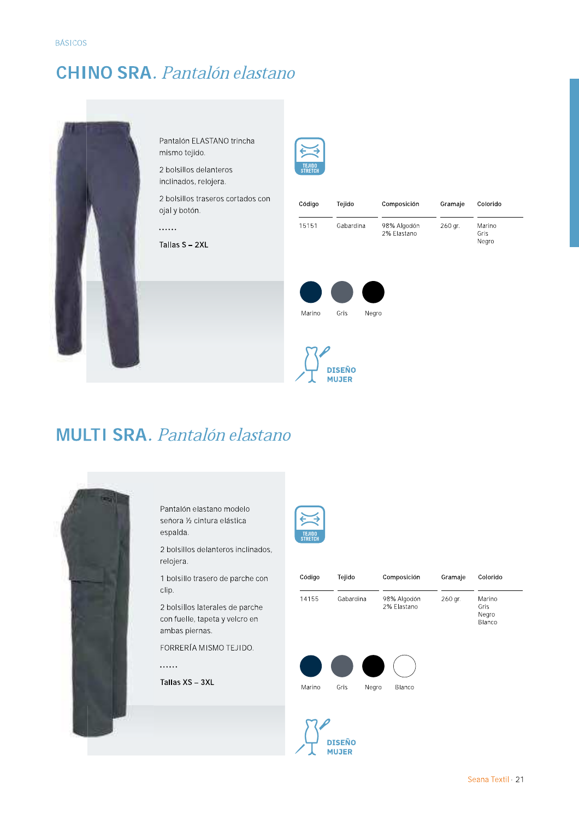#### **CHINO SRA.** Pantalón elastano



Pantalón ELASTANO trincha mismo tejido.

2 bolsillos delanteros inclinados, relojera.

2 bolsillos traseros cortados con ojal y botón.

. . . . . .

Tallas S - 2XL



| Código | Tejido    | Composición                | Gramaje | Colorido                |
|--------|-----------|----------------------------|---------|-------------------------|
| 15151  | Gabardina | 98% Algodón<br>2% Elastano | 260 gr. | Marino<br>Gris<br>Negro |





#### **MULTI SRA.** Pantalón elastano



Pantalón elastano modelo señora ½ cintura elástica espalda.

2 bolsillos delanteros inclinados, relojera.

1 bolsillo trasero de parche con clip.

2 bolsillos laterales de parche con fuelle, tapeta y velcro en ambas piernas.

FORRERÍA MISMO TEJIDO.

. . . . . .



| Código | Tejido    | Composición                | Gramaje | Colorido                          |
|--------|-----------|----------------------------|---------|-----------------------------------|
| 14155  | Gabardina | 98% Algodón<br>2% Elastano | 260 gr. | Marino<br>Gris<br>Negro<br>Blanco |
|        |           |                            |         |                                   |
|        |           |                            |         |                                   |

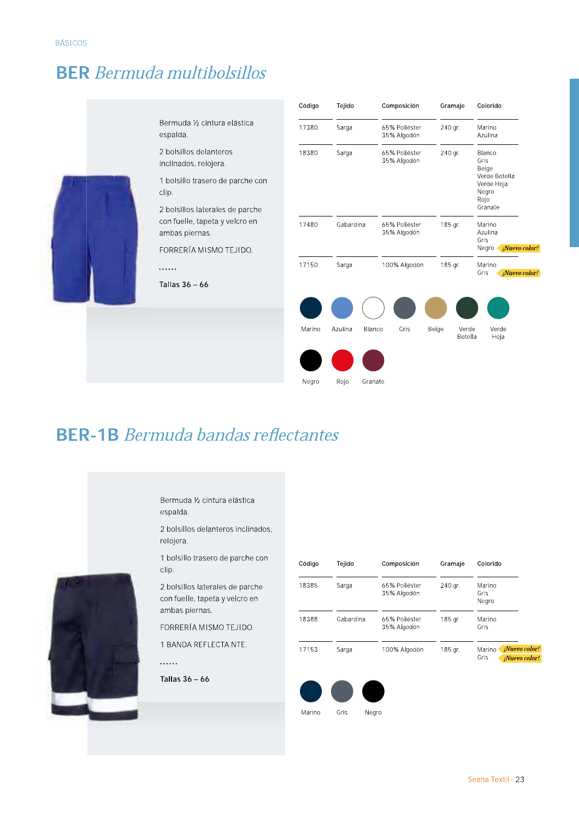#### **BER** Bermuda multibolsillos



#### **BER-1B** Bermuda bandas reflectantes



Bermuda ½ cintura elástica espalda.

2 bolsillos delanteros inclinados, relojera.

1 bolsillo trasero de parche con clip.

2 bolsillos laterales de parche con fuelle, tapeta y velcro en ambas piernas.

FORRERÍA MISMO TEJIDO.

1 BANDA REFLECTA NTE.

. . . . . .

Tallas  $36 - 66$ 

| Código | Tejido    | Composición                  | Gramaje | Colorido                                         |
|--------|-----------|------------------------------|---------|--------------------------------------------------|
| 18385  | Sarga     | 65% Poliéster<br>35% Algodón | 240 gr. | Marino<br>Gris<br>Negro                          |
| 18388  | Gabardina | 65% Poliéster<br>35% Algodón | 185 gr. | Marino<br>Gris                                   |
| 17153  | Sarga     | 100% Algodón                 | 185 gr. | ¡Nuevo color!<br>Marino<br>Gris<br>¡Nuevo color! |
|        |           |                              |         |                                                  |



Negro

Colorido

Marino

Azulina

Blanco

Negro Rojo Granate

Marino

Azulina Gris

Marino

Verde

Hoja

Gris

Verde

Botella

Negro *Nuevo color!* 

*¡Nuevo color!* 

Beige<br>Verde Botella<br>Verde Hoja

Gris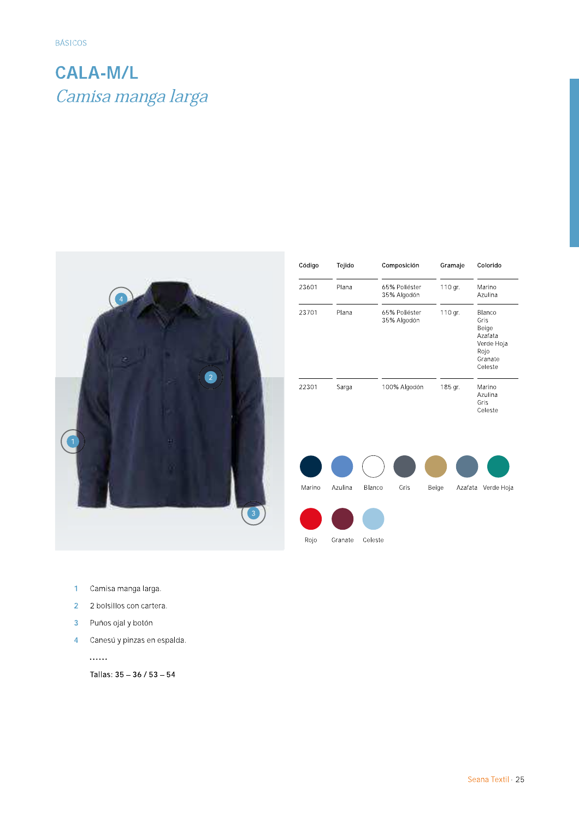# CALA-M/L BÁSICOS<br>**CALA-M/L**<br>*Camisa manga larga*



| Código | Tejido  | Composición                  | Gramaje          | Colorido                                                                       |
|--------|---------|------------------------------|------------------|--------------------------------------------------------------------------------|
| 23601  | Plana   | 65% Poliéster<br>35% Algodón | 110 gr.          | Marino<br>Azulina                                                              |
| 23701  | Plana   | 65% Poliéster<br>35% Algodón | 110 gr.          | Blanco<br>Gris<br>Beige<br>Azafata<br>Verde Hoja<br>Rojo<br>Granate<br>Celeste |
| 22301  | Sarga   | 100% Algodón                 | 185 gr.          | Marino<br>Azulina<br>Gris<br>Celeste                                           |
|        |         |                              |                  |                                                                                |
|        |         |                              |                  |                                                                                |
| Marino | Azulina | Blanco<br>Gris               | Beige<br>Azafata | Verde Hoja                                                                     |
|        |         |                              |                  |                                                                                |
| Roio   | Granate | Celeste                      |                  |                                                                                |

- & Camisa manga larga.
- 2 bolsillos con cartera.
- ( Puños oial y botón
- ) Canesú y pinzas en espalda.

Tallas:  $35 - 36 / 53 - 54$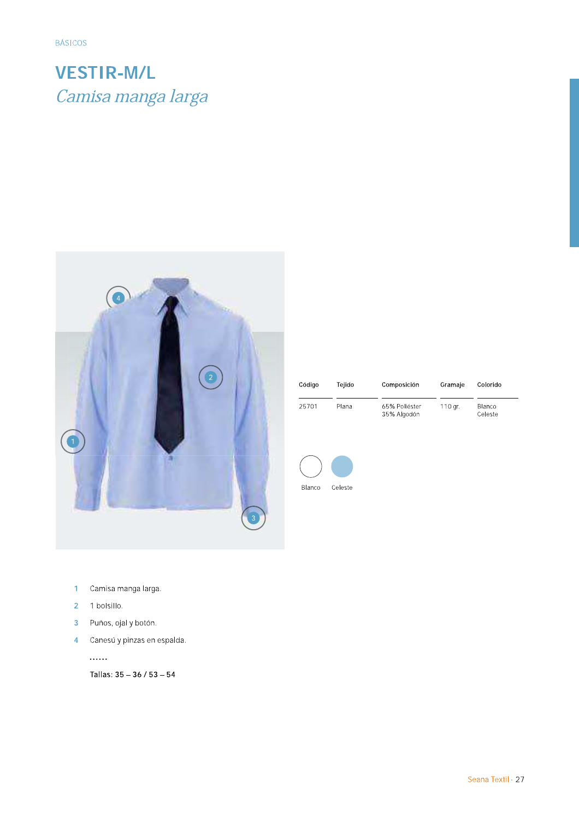# **VESTIR-M/L** Camisa manga larga



| Código | Teiido | Composición                  | Gramaje | Colorido          |
|--------|--------|------------------------------|---------|-------------------|
| 25701  | Plana  | 65% Poliéster<br>35% Algodón | 110 gr. | Blanco<br>Celeste |



- $\mathbf{1}$ Camisa manga larga.
- $\overline{2}$ 1 bolsillo.
- Puños, ojal y botón.  $\overline{3}$
- Canesú y pinzas en espalda.  $\overline{4}$

......

Tallas: 35 - 36 / 53 - 54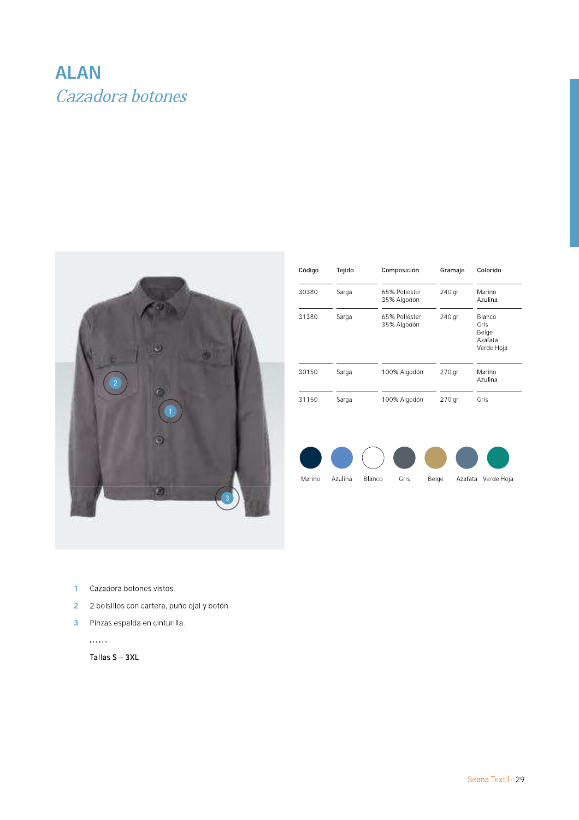## **ALAN** Cazadora botones



| Código | Tejido | Composición                  | Gramaje | Colorido                                         |
|--------|--------|------------------------------|---------|--------------------------------------------------|
| 30380  | Sarga  | 65% Poliéster<br>35% Algodón | 240 gr. | Marino<br>Azulina                                |
| 31380  | Sarga  | 65% Poliéster<br>35% Algodón | 240 gr. | Blanco<br>Gris<br>Beige<br>Azafata<br>Verde Hoja |
| 30150  | Sarga  | 100% Algodón                 | 270 gr. | Marino<br>Azulina                                |
| 31150  | Sarga  | 100% Algodón                 | 270 gr. | Gris                                             |



- $\mathbf{1}$ Cazadora botones vistos.
- 2 2 bolsillos con cartera, puño ojal y botón.
- 3 Pinzas espalda en cinturilla.

. . . . . .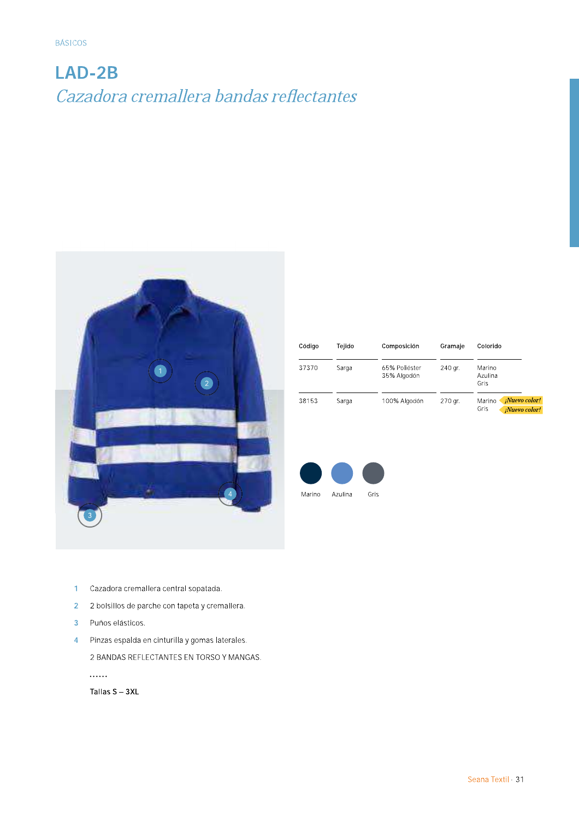# LAD-2B Cazadora cremallera bandas reflectantes



| Código | Teiido | Composición                  | Gramaje | Colorido                                                |
|--------|--------|------------------------------|---------|---------------------------------------------------------|
| 37370  | Sarga  | 65% Poliéster<br>35% Algodón | 240 gr. | Marino<br>Azulina<br>Gris                               |
| 38153  | Sarga  | 100% Algodón                 | 270 gr. | <i>¡Nuevo color!</i><br>Marino<br>Gris<br>¡Nuevo color! |



- Cazadora cremallera central sopatada.  $\mathbf{1}$
- $\overline{2}$ 2 bolsillos de parche con tapeta y cremallera.
- Puños elásticos.  $\overline{3}$
- 4 Pinzas espalda en cinturilla y gomas laterales. 2 BANDAS REFLECTANTES EN TORSO Y MANGAS. . . . . . .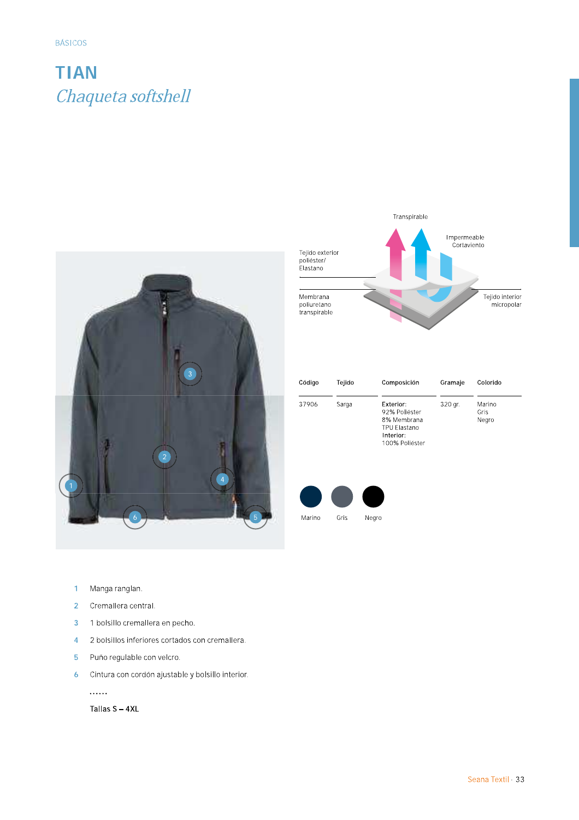## **TIAN** Chaqueta softshell





| Código | Tejido | Composición                                                                              | Gramaje | Colorido                |
|--------|--------|------------------------------------------------------------------------------------------|---------|-------------------------|
| 37906  | Sarga  | Exterior:<br>92% Poliéster<br>8% Membrana<br>TPU Flastano<br>Interior:<br>100% Poliéster | 320 gr. | Marino<br>Gris<br>Negro |



- Manga ranglan.  $\overline{1}$
- $\overline{2}$ Cremallera central.
- $\overline{3}$ 1 bolsillo cremallera en pecho.
- $\overline{4}$ 2 bolsillos inferiores cortados con cremallera.
- $\overline{5}$ Puño regulable con velcro.
- Cintura con cordón ajustable y bolsillo interior.  $\ddot{\mathbf{6}}$

. . . . . .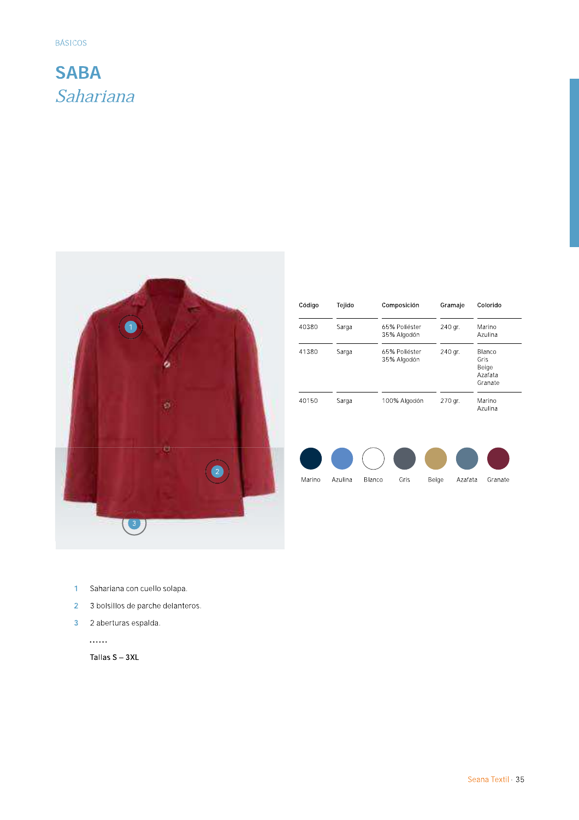#### **SABA** Sahariana



| Código | Tejido | Composición                  |         | Gramaje | Colorido                                      |
|--------|--------|------------------------------|---------|---------|-----------------------------------------------|
| 40380  | Sarga  | 65% Poliéster<br>35% Algodón | 240 gr. |         | Marino<br>Azulina                             |
| 41380  | Sarga  | 65% Poliéster<br>35% Algodón | 240 gr. |         | Blanco<br>Gris<br>Beige<br>Azafata<br>Granate |
| 40150  | Sarga  | 100% Algodón                 | 270 gr. |         | Marino<br>Azulina                             |
|        |        |                              |         |         |                                               |
|        |        |                              |         |         |                                               |

- 1 Sahariana con cuello solapa.
- 2 3 bolsillos de parche delanteros.
- 3 2 aberturas espalda.

. . . . . .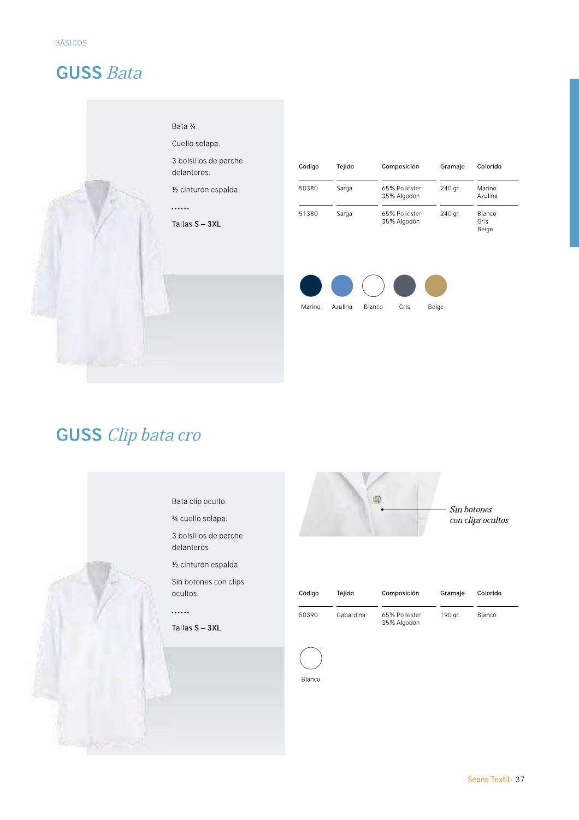#### **GUSS Bata**

#### Bata 3/4.

Cuello solapa.

3 bolsillos de parche delanteros.

1/2 cinturón espalda.

#### . . . . . .

Tallas S - 3XL

| Código | Teiido | Composición                  | Gramaje | Colorido                       |
|--------|--------|------------------------------|---------|--------------------------------|
| 50380  | Sarga  | 65% Poliéster<br>35% Algodón | 240 ar. | Marino<br>Azulina              |
| 51380  | Sarga  | 65% Poliéster<br>35% Algodón | 240 gr. | <b>Blanco</b><br>Gris<br>Beige |



## **GUSS** Clip bata cro

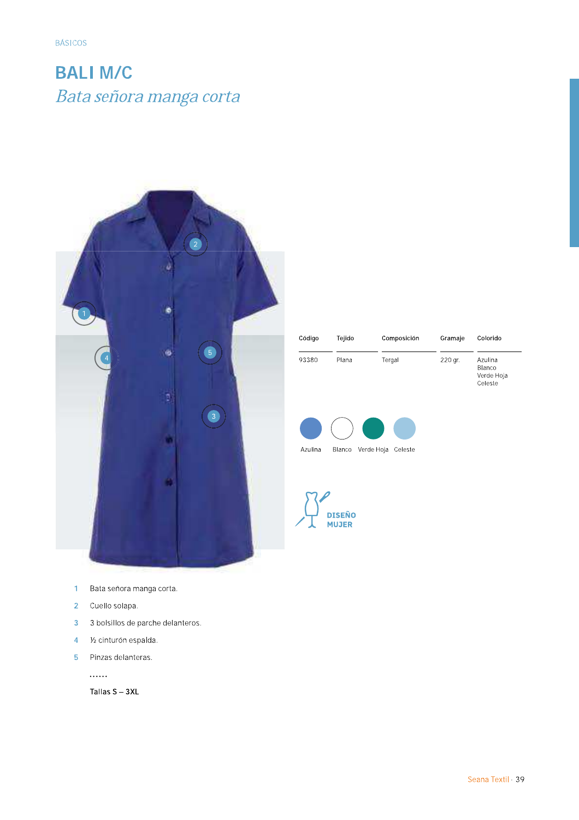# **BALI M/C** Bata señora manga corta



| Código | Tejido | Composición | Gramaje | Colorido                                   |
|--------|--------|-------------|---------|--------------------------------------------|
| 93380  | Plana  | Tergal      | 220 gr. | Azulina<br>Blanco<br>Verde Hoja<br>Celeste |





- Bata señora manga corta.  $\overline{1}$
- $\overline{2}$ Cuello solapa.
- 3 bolsillos de parche delanteros.  $\overline{3}$
- 1/2 cinturón espalda.  $\overline{4}$
- $\overline{5}$ Pinzas delanteras.

. . . . . .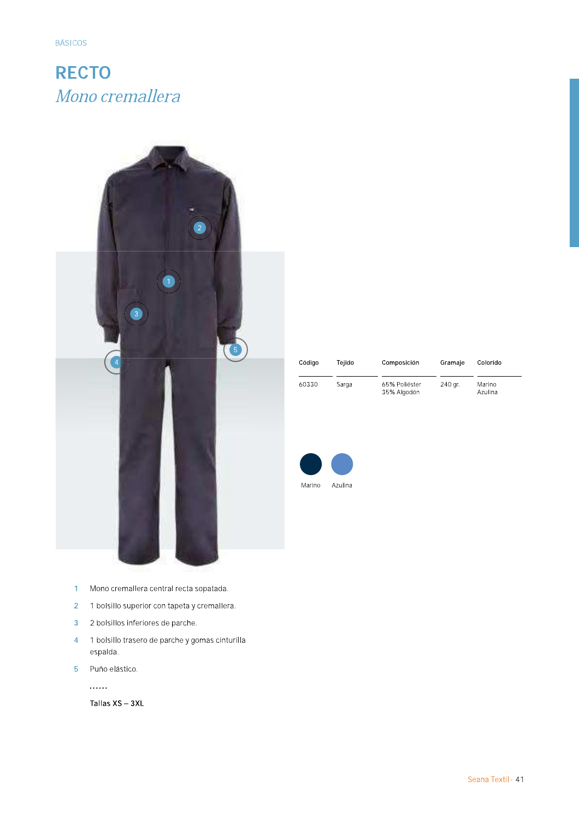## **RECTO** Mono cremallera



| Mono cremallera central recta sopatada. |  |
|-----------------------------------------|--|

- 2 1 bolsillo superior con tapeta y cremallera.
- $\overline{3}$ 2 bolsillos inferiores de parche.
- 1 bolsillo trasero de parche y gomas cinturilla  $\overline{4}$ espalda.
- $\overline{5}$ Puño elástico.

. . . . . .

| Código | Teiido | Composición                  | Gramaje | Colorido          |
|--------|--------|------------------------------|---------|-------------------|
| 60330  | Sarga  | 65% Poliéster<br>35% Algodón | 240 gr. | Marino<br>Azulina |